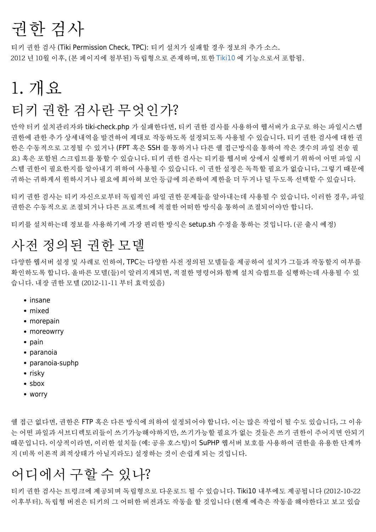# 권한 검사

티키 권한 검사 (Tiki Permission Check, TPC): 티키 설치가 실패할 경우 정보의 추가 소스. 2012 년 10월 이후, (본 페이지에 첨부된) 독립형으로 존재하며, 또한 [Tiki10](https://doc.tiki.org/Tiki10) 에 기능으로서 포함됨.

## 1. 개요

### 티키 권한 검사란 무엇인가?

만약 터키 설치관리자와 tiki-check.php 가 실패한다면, 티키 권한 검사를 사용하여 웹서버가 요구로 하는 파일시스템 권한에 관한 추가 상세내역을 발견하여 제대로 작동하도록 설정되도록 사용될 수 있습니다. 티키 권한 검사에 대한 권 한은 수동적으로 고정될 수 있거나 (FPT 혹은 SSH 를 통하거나 다른 쉘 접근방식을 통하여 작은 갯수의 파일 전송 필 요) 혹은 포함된 스크립트를 통할 수 있습니다. 티키 권한 검사는 티키를 웹서버 상에서 실행히기 위하여 어떤 파일 시 스템 권한이 필요한지를 알아내기 위하여 사용될 수 있습니다. 이 권한 설정은 독특할 필요가 없습니다, 그렇기 때문에 귀하는 귀하게서 원하시거나 필요에 희아혀 보안 등급에 의존하여 제한을 더 두거나 덜 두도록 선택할 수 있습니다.

티키 권한 검사는 티키 자신으로부터 독립적인 파일 권한 문제들을 알아내는데 사용될 수 있습니다. 이러한 경우, 파일 권한은 수동적으로 조절되거나 다른 프로젝트에 적절한 어떠한 방식을 통하여 조절되어야만 합니다.

티키를 설치하는데 정보를 사용하기에 가장 편리한 방식은 setup.sh 수정을 통하는 것입니다. (곧 출시 예정)

### 사전 정의된 권한 모델

다양한 웹서버 설정 및 사례로 인하여, TPC는 다양한 사전 정의된 모델들을 제공하여 설치가 그들과 작동할지 여부를 확인하도록 합니다. 올바른 모델(들)이 알려지게되면, 적절한 명령어와 함께 설치 슼릡트를 실행하는데 사용될 수 있 습니다. 내장 권한 모델 (2012-11-11 부터 효력있음)

- insane
- mixed
- morepain
- moreowrry
- pain
- paranoia
- paranoia-suphp
- $\cdot$  risky
- sbox
- worry

쉘 접근 없다면, 권한은 FTP 혹은 다른 방식에 의하여 설정되어야 합니다. 이는 많은 작업이 될 수도 있습니다, 그 이유 는 어떤 파일과 서브디렉토리들이 쓰기가능해야하지만, 쓰기가능할 필요가 없는 것들은 쓰기 권한이 주어지면 안되기 때문입니다. 이상적이라면, 이러한 설치들 (예: 공유 호스팅)이 SuPHP 웹서버 보호를 사용하여 권한을 유용한 단계까 지 (비록 이론적 최적상태가 아닐지라도) 설정하는 것이 손쉽게 되는 것입니다.

### 어디에서 구할 수 있나?

티키 권한 검사는 트렁크에 제공되며 독립형으로 다운로드 될 수 있습니다. Tiki10 내부에도 제공됩니다 (2012-10-22 이후부터). 독립형 버전은 티키의 그 어떠한 버전과도 작동을 할 것입니다 (현재 예측은 작동을 해야한다고 보고 있습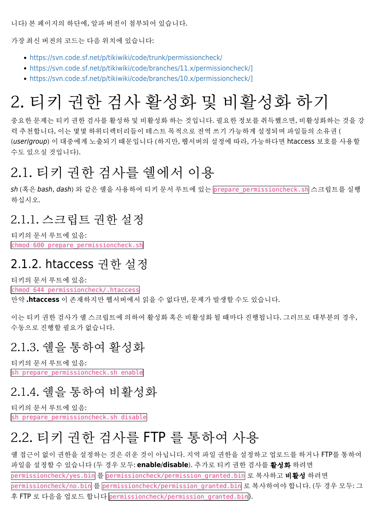니다) 본 페이지의 하단에, 알파 버전이 첨부되어 있습니다.

가장 최신 버전의 코드는 다음 위치에 있습니다:

- <https://svn.code.sf.net/p/tikiwiki/code/trunk/permissioncheck/>
- [https://svn.code.sf.net/p/tikiwiki/code/branches/11.x/permissioncheck/\]](https://svn.code.sf.net/p/tikiwiki/code/branches/11.x/permissioncheck/%5D)
- [https://svn.code.sf.net/p/tikiwiki/code/branches/10.x/permissioncheck/\]](https://svn.code.sf.net/p/tikiwiki/code/branches/10.x/permissioncheck/%5D)

## 2. 티키 권한 검사 활성화 및 비활성화 하기

중요한 문제는 티키 권한 검사를 활성하 및 비활성화 하는 것입니다. 필요한 정보를 취득했으면, 비활성화하는 것을 강 력 추천합니다, 이는 몇몇 하위디렉터리들이 테스트 목적으로 전역 쓰기 가능하게 설정되며 파일들의 소유권 ( (user/group) 이 대중에게 노출되기 때문입니다 (하지만, 웹서버의 설정에 따라, 가능하다면 htaccess 보호를 사용할 수도 있으실 것입니다).

#### 2.1. 티키 권한 검사를 쉘에서 이용

sh (혹은 bash, dash) 와 같은 쉘을 사용하여 티키 문서 루트에 있는 prepare\_permissioncheck.sh 스크립트를 실행 하십시오.

#### 2.1.1. 스크립트 권한 설정

티키의 문서 루트에 있음: chmod 600 prepare permissioncheck.sh

#### 2.1.2. htaccess 권한 설정

티키의 문서 루트에 있음:

chmod 644 permissioncheck/.htaccess

만약 **.htaccess** 이 존재하지만 웹서버에서 읽을 수 없다면, 문제가 발생할 수도 있습니다.

이는 티키 권한 검사가 쉘 스크립트에 의하여 활성화 혹은 비활성화 될 때마다 진행됩니다. 그러므로 대부분의 경우, 수동으로 진행할 필요가 없습니다.

#### 2.1.3. 쉘을 통하여 활성화

티키의 문서 루트에 있음: sh prepare permissioncheck.sh enable

#### 2.1.4. 쉘을 통하여 비활성화

티키의 문서 루트에 있음: sh prepare permissioncheck.sh disable

#### 2.2. 티키 권한 검사를 FTP 를 통하여 사용

쉘 접근이 없이 권한을 설정하는 것은 쉬운 것이 아닙니다. 지역 파일 권한을 설정하고 업로드를 하거나 FTP를 통하여 파일을 설정할 수 있습니다 (두 경우 모두: **enable**/**disable**). 추가로 티키 권한 검사를 활성화 하려면 permissioncheck/yes.bin 를 permissioncheck/permission\_granted.bin 로 복사하고 **비활성** 하려면 permissioncheck/no.bin 를 permissioncheck/permission\_granted.bin 로 복사하여야 합니다. (두 경우 모두: 그 후 FTP 로 다음을 업로드 합니다 permissioncheck/permission\_granted.bin).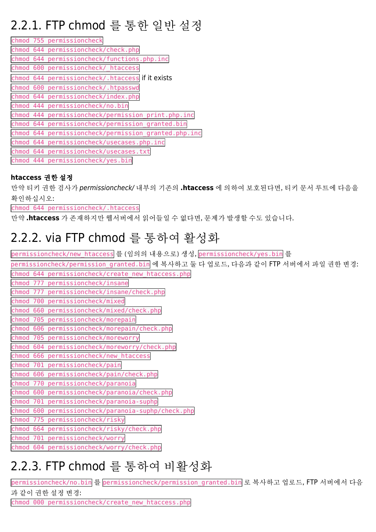### 2.2.1. FTP chmod 를 통한 일반 설정

|              | chmod 755 permissioncheck                        |
|--------------|--------------------------------------------------|
|              | chmod 644 permissioncheck/check.php              |
| chmod<br>644 | permissioncheck/functions.php.inc                |
| chmod 600    | permissioncheck/ htaccess                        |
|              | chmod 644 permissioncheck/.htaccess if it exists |
|              | chmod 600 permissioncheck/.htpasswd              |
| chmod 644    | permissioncheck/index.php                        |
| chmod<br>444 | permissioncheck/no.bin                           |
| 444<br>chmod | permissioncheck/permission print.php.inc         |
|              | chmod 644 permissioncheck/permission granted.bin |
| chmod<br>644 | permissioncheck/permission granted.php.inc       |
| chmod<br>644 | permissioncheck/usecases.php.inc                 |
| chmod 644    | permissioncheck/usecases.txt                     |
|              | chmod 444 permissioncheck/yes.bin                |

#### **htaccess** 권한 설정

만약 티키 권한 검사가 permissioncheck/ 내부의 기존의 **.htaccess** 에 의하여 보호된다면, 티키 문서 루트에 다음을 확인하십시오:

chmod 644 permissioncheck/.htaccess

만약 **.htaccess** 가 존재하지만 웹서버에서 읽어들일 수 없다면, 문제가 발생할 수도 있습니다.

#### 2.2.2. via FTP chmod 를 통하여 활성화

permissioncheck/new\_htaccess 를 (임의의 내용으로) 생성, permissioncheck/yes.bin 를

| permissioncheck/permission granted.bin 에 복사하고 둘 다 업로드, 다음과 같이 FTP 서버에서 파일 권한 변경: |
|----------------------------------------------------------------------------------|
| chmod 644 permissioncheck/create new htaccess.php                                |
| chmod 777 permissioncheck/insane                                                 |
| chmod 777 permissioncheck/insane/check.php                                       |
| chmod 700 permissioncheck/mixed                                                  |
| chmod 660 permissioncheck/mixed/check.php                                        |
| chmod<br>705 permissioncheck/morepain                                            |
| chmod 606 permissioncheck/morepain/check.php                                     |
| chmod 705 permissioncheck/moreworry                                              |
| chmod 604 permissioncheck/moreworry/check.php                                    |
| chmod 666 permissioncheck/new htaccess                                           |
| chmod 701 permissioncheck/pain                                                   |
| chmod 606 permissioncheck/pain/check.php                                         |
| chmod 770 permissioncheck/paranoia                                               |
| chmod 600 permissioncheck/paranoia/check.php                                     |
| chmod 701 permissioncheck/paranoia-suphp                                         |
| chmod 600 permissioncheck/paranoia-suphp/check.php                               |
| chmod 775 permissioncheck/risky                                                  |
| chmod 664 permissioncheck/risky/check.php                                        |
| chmod 701 permissioncheck/worry                                                  |
| chmod 604 permissioncheck/worry/check.php                                        |
|                                                                                  |

### 2.2.3. FTP chmod 를 통하여 비활성화

permissioncheck/no.bin 를 permissioncheck/permission\_granted.bin 로 복사하고 업로드, FTP 서버에서 다음 과 같이 권한 설정 변경:

chmod 000 permissioncheck/create\_new\_htaccess.php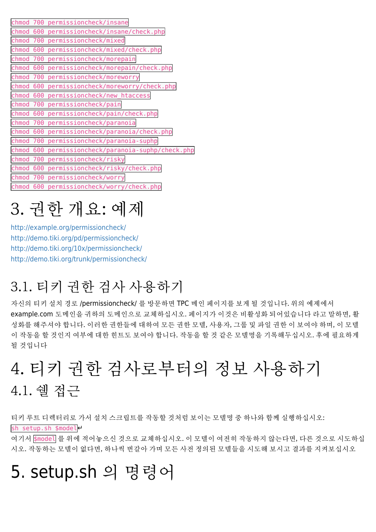| chmod | 700 | permissioncheck/insane                   |
|-------|-----|------------------------------------------|
| chmod | 600 | permissioncheck/insane/check.php         |
| chmod | 700 | permissioncheck/mixed                    |
| chmod | 600 | permissioncheck/mixed/check.php          |
| chmod | 700 | permissioncheck/morepain                 |
| chmod | 600 | permissioncheck/morepain/check.php       |
| chmod | 700 | permissioncheck/moreworry                |
| chmod | 600 | permissioncheck/moreworry/check.php      |
| chmod | 600 | permissioncheck/new htaccess             |
| chmod | 700 | permissioncheck/pain                     |
| chmod | 600 | permissioncheck/pain/check.php           |
| chmod | 700 | permissioncheck/paranoia                 |
| chmod | 600 | permissioncheck/paranoia/check.php       |
| chmod | 700 | permissioncheck/paranoia-suphp           |
| chmod | 600 | permissioncheck/paranoia-suphp/check.php |
| chmod | 700 | permissioncheck/risky                    |
| chmod | 600 | permissioncheck/risky/check.php          |
| chmod | 700 | permissioncheck/worry                    |
| chmod | 600 | permissioncheck/worry/check.php          |

# 3. 권한 개요: 예제

<http://example.org/permissioncheck/> <http://demo.tiki.org/pd/permissioncheck/> <http://demo.tiki.org/10x/permissioncheck/> <http://demo.tiki.org/trunk/permissioncheck/>

## 3.1. 티키 권한 검사 사용하기

자신의 티키 설치 경로 /permissioncheck/ 를 방문하면 TPC 메인 페이지를 보게 될 것입니다. 위의 예제에서 example.com 도메인을 귀하의 도메인으로 교체하십시오. 페이지가 이것은 비활성화 되어있습니다 라고 말하면, 활 성화를 해주셔야 합니다. 이러한 권한들에 대하여 모든 권한 모델, 사용자, 그룹 및 파일 권한 이 보여야 하며, 이 모델 이 작동을 할 것인지 여부에 대한 힌트도 보여야 합니다. 작동을 할 것 같은 모델명을 기록해두십시오. 후에 필요하게 될 것입니다

## 4. 티키 권한 검사로부터의 정보 사용하기 4.1. 쉘 접근

티키 루트 디렉터리로 가서 설치 스크립트를 작동할 것처럼 보이는 모델명 중 하나와 함께 실행하십시오: sh setup.sh \$modele

여기서 \$model 를 위에 적어놓으신 것으로 교체하십시오. 이 모델이 여전히 작동하지 않는다면, 다른 것으로 시도하십 시오. 작동하는 모델이 없다면, 하나씩 번갈아 가며 모든 사전 정의된 모델들을 시도해 보시고 결과를 지켜보십시오

## 5. setup.sh 의 명령어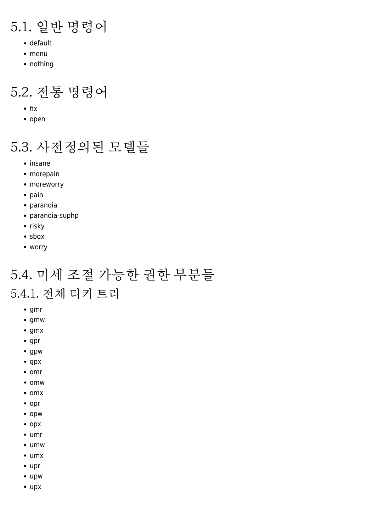### 5.1. 일반 명령어

- default
- menu
- nothing

### 5.2. 전통 명령어

- $\bullet$  fix
- open

### 5.3. 사전정의된 모델들

- insane
- morepain
- moreworry
- $\bullet$  pain
- paranoia
- paranoia-suphp
- $\bullet$  risky
- sbox
- worry

## 5.4. 미세 조절 가능한 권한 부분들

#### 5.4.1. 전체 티키 트리

- $\bullet$  gmr
- $\bullet$  gmw
- $\bullet$  gmx
- $\bullet$  gpr
- gpw
- gpx
- $\bullet$  omr
- omw
- $\bullet$  omx
- opr
- opw
- opx
- umr
- umw
- umx
- upr
- upw
- upx